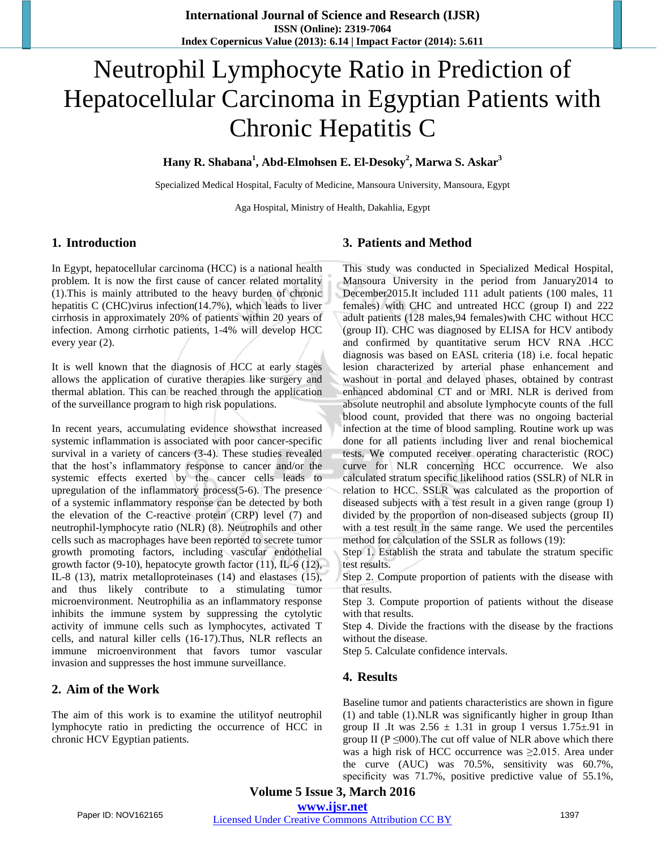# Neutrophil Lymphocyte Ratio in Prediction of Hepatocellular Carcinoma in Egyptian Patients with Chronic Hepatitis C

## **Hany R. Shabana1 , Abd-Elmohsen E. El-Desoky<sup>2</sup> , Marwa S. Askar<sup>3</sup>**

Specialized Medical Hospital, Faculty of Medicine, Mansoura University, Mansoura, Egypt

Aga Hospital, Ministry of Health, Dakahlia, Egypt

#### **1. Introduction**

In Egypt, hepatocellular carcinoma (HCC) is a national health problem. It is now the first cause of cancer related mortality (1).This is mainly attributed to the heavy burden of chronic hepatitis C (CHC)virus infection(14.7%), which leads to liver cirrhosis in approximately 20% of patients within 20 years of infection. Among cirrhotic patients, 1-4% will develop HCC every year (2).

It is well known that the diagnosis of HCC at early stages allows the application of curative therapies like surgery and thermal ablation. This can be reached through the application of the surveillance program to high risk populations.

In recent years, accumulating evidence showsthat increased systemic inflammation is associated with poor cancer-specific survival in a variety of cancers (3-4). These studies revealed that the host's inflammatory response to cancer and/or the systemic effects exerted by the cancer cells leads to upregulation of the inflammatory process(5-6). The presence of a systemic inflammatory response can be detected by both the elevation of the C-reactive protein (CRP) level (7) and neutrophil-lymphocyte ratio (NLR) (8). Neutrophils and other cells such as macrophages have been reported to secrete tumor growth promoting factors, including vascular endothelial growth factor (9-10), hepatocyte growth factor (11), IL-6 (12), IL-8 (13), matrix metalloproteinases (14) and elastases (15), and thus likely contribute to a stimulating tumor microenvironment. Neutrophilia as an inflammatory response inhibits the immune system by suppressing the cytolytic activity of immune cells such as lymphocytes, activated T cells, and natural killer cells (16-17).Thus, NLR reflects an immune microenvironment that favors tumor vascular invasion and suppresses the host immune surveillance.

# **2. Aim of the Work**

The aim of this work is to examine the utilityof neutrophil lymphocyte ratio in predicting the occurrence of HCC in chronic HCV Egyptian patients.

## **3. Patients and Method**

This study was conducted in Specialized Medical Hospital, Mansoura University in the period from January2014 to December2015.It included 111 adult patients (100 males, 11 females) with CHC and untreated HCC (group I) and 222 adult patients (128 males,94 females)with CHC without HCC (group II). CHC was diagnosed by ELISA for HCV antibody and confirmed by quantitative serum HCV RNA .HCC diagnosis was based on EASL criteria (18) i.e. focal hepatic lesion characterized by arterial phase enhancement and washout in portal and delayed phases, obtained by contrast enhanced abdominal CT and or MRI. NLR is derived from absolute neutrophil and absolute lymphocyte counts of the full blood count, provided that there was no ongoing bacterial infection at the time of blood sampling. Routine work up was done for all patients including liver and renal biochemical tests. We computed receiver operating characteristic (ROC) curve for NLR concerning HCC occurrence. We also calculated stratum specific likelihood ratios (SSLR) of NLR in relation to HCC. SSLR was calculated as the proportion of diseased subjects with a test result in a given range (group I) divided by the proportion of non-diseased subjects (group II) with a test result in the same range. We used the percentiles method for calculation of the SSLR as follows (19):

Step 1. Establish the strata and tabulate the stratum specific test results.

Step 2. Compute proportion of patients with the disease with that results.

Step 3. Compute proportion of patients without the disease with that results.

Step 4. Divide the fractions with the disease by the fractions without the disease.

Step 5. Calculate confidence intervals.

#### **4. Results**

Baseline tumor and patients characteristics are shown in figure (1) and table (1).NLR was significantly higher in group Ithan group II .It was  $2.56 \pm 1.31$  in group I versus  $1.75 \pm .91$  in group II ( $P \le 000$ ). The cut off value of NLR above which there was a high risk of HCC occurrence was  $\geq 2.015$ . Area under the curve (AUC) was 70.5%, sensitivity was 60.7%, specificity was 71.7%, positive predictive value of 55.1%,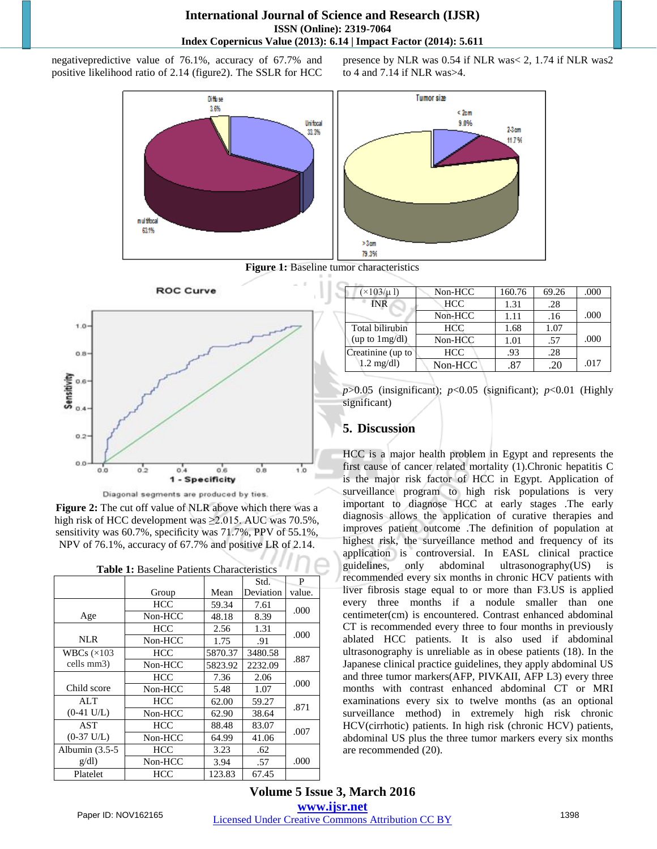negativepredictive value of 76.1%, accuracy of 67.7% and positive likelihood ratio of 2.14 (figure2). The SSLR for HCC

> Diffuse 3.6% Unifocal 33.3% n ul títocal 63.1%



Diagonal segments are produced by ties.

**Figure 2:** The cut off value of NLR above which there was a high risk of HCC development was ≥2.015. AUC was 70.5%, sensitivity was 60.7%, specificity was 71.7%, PPV of 55.1%, NPV of 76.1%, accuracy of 67.7% and positive LR of 2.14.

|                      |            |         | Std.      | P      |
|----------------------|------------|---------|-----------|--------|
|                      | Group      | Mean    | Deviation | value. |
|                      | <b>HCC</b> | 59.34   | 7.61      | .000   |
| Age                  | Non-HCC    | 48.18   | 8.39      |        |
|                      | <b>HCC</b> | 2.56    | 1.31      | .000   |
| NLR.                 | Non-HCC    | 1.75    | .91       |        |
| WBCs $(x103)$        | HCC        | 5870.37 | 3480.58   |        |
| cells mm3)           | Non-HCC    | 5823.92 | 2232.09   | .887   |
|                      | <b>HCC</b> | 7.36    | 2.06      |        |
| Child score          | Non-HCC    | 5.48    | 1.07      | .000   |
| <b>ALT</b>           | <b>HCC</b> | 62.00   | 59.27     |        |
| $(0-41 \text{ U/L})$ | Non-HCC    | 62.90   | 38.64     | .871   |
| AST                  | <b>HCC</b> | 88.48   | 83.07     |        |
| $(0-37 \text{ U/L})$ | Non-HCC    | 64.99   | 41.06     | .007   |
| Albumin $(3.5-5)$    | <b>HCC</b> | 3.23    | .62       |        |
| g/dl                 | Non-HCC    | 3.94    | .57       | .000   |
| Platelet             | <b>HCC</b> | 123.83  | 67.45     |        |

**Table 1:** Baseline Patients Characteristics

presence by NLR was 0.54 if NLR was< 2, 1.74 if NLR was2 to 4 and 7.14 if NLR was>4.



**Figure 1:** Baseline tumor characteristics

| $\times$ 103/µ l)   | Non-HCC    | 160.76 | 69.26 | .000 |
|---------------------|------------|--------|-------|------|
| <b>INR</b>          | <b>HCC</b> | 1.31   | .28   |      |
|                     | Non-HCC    | 1.11   | .16   | .000 |
| Total bilirubin     | <b>HCC</b> | 1.68   | 1.07  |      |
| (up to $1mg/dl$ )   | Non-HCC    | 1.01   | .57   | .000 |
| Creatinine (up to   | <b>HCC</b> | .93    | .28   |      |
| $1.2 \text{ mg/dl}$ | Non-HCC    | .87    | .20   | .017 |

 $p > 0.05$  (insignificant);  $p < 0.05$  (significant);  $p < 0.01$  (Highly significant)

## **5. Discussion**

HCC is a major health problem in Egypt and represents the first cause of cancer related mortality (1).Chronic hepatitis C is the major risk factor of HCC in Egypt. Application of surveillance program to high risk populations is very important to diagnose HCC at early stages .The early diagnosis allows the application of curative therapies and improves patient outcome .The definition of population at highest risk, the surveillance method and frequency of its application is controversial. In EASL clinical practice guidelines, only abdominal ultrasonography(US) is recommended every six months in chronic HCV patients with liver fibrosis stage equal to or more than F3.US is applied every three months if a nodule smaller than one centimeter(cm) is encountered. Contrast enhanced abdominal CT is recommended every three to four months in previously ablated HCC patients. It is also used if abdominal ultrasonography is unreliable as in obese patients (18). In the Japanese clinical practice guidelines, they apply abdominal US and three tumor markers(AFP, PIVKAII, AFP L3) every three months with contrast enhanced abdominal CT or MRI examinations every six to twelve months (as an optional surveillance method) in extremely high risk chronic HCV(cirrhotic) patients. In high risk (chronic HCV) patients, abdominal US plus the three tumor markers every six months are recommended (20).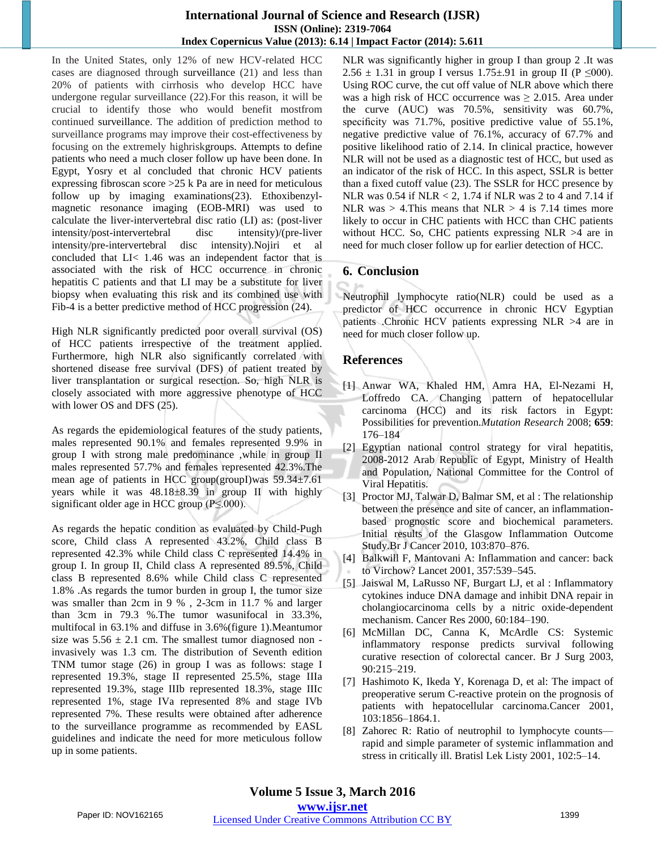#### **International Journal of Science and Research (IJSR) ISSN (Online): 2319-7064 Index Copernicus Value (2013): 6.14 | Impact Factor (2014): 5.611**

In the United States, only 12% of new HCV-related HCC cases are diagnosed through surveillance (21) and less than 20% of patients with cirrhosis who develop HCC have undergone regular surveillance (22).For this reason, it will be crucial to identify those who would benefit mostfrom continued surveillance. The addition of prediction method to surveillance programs may improve their cost-effectiveness by focusing on the extremely highriskgroups. Attempts to define patients who need a much closer follow up have been done. In Egypt, Yosry et al concluded that chronic HCV patients expressing fibroscan score >25 k Pa are in need for meticulous follow up by imaging examinations(23). Ethoxibenzylmagnetic resonance imaging (EOB-MRI) was used to calculate the liver-intervertebral disc ratio (LI) as: (post-liver intensity/post-intervertebral disc intensity)/(pre-liver intensity/pre-intervertebral disc intensity).Nojiri et al concluded that LI< 1.46 was an independent factor that is associated with the risk of HCC occurrence in chronic hepatitis C patients and that LI may be a substitute for liver biopsy when evaluating this risk and its combined use with Fib-4 is a better predictive method of HCC progression (24).

High NLR significantly predicted poor overall survival (OS) of HCC patients irrespective of the treatment applied. Furthermore, high NLR also significantly correlated with shortened disease free survival (DFS) of patient treated by liver transplantation or surgical resection. So, high NLR is closely associated with more aggressive phenotype of HCC with lower OS and DFS (25).

As regards the epidemiological features of the study patients, males represented 90.1% and females represented 9.9% in group I with strong male predominance ,while in group II males represented 57.7% and females represented 42.3%.The mean age of patients in HCC group(groupI)was 59.34±7.61 years while it was 48.18±8.39 in group II with highly significant older age in HCC group (P≤.000).

As regards the hepatic condition as evaluated by Child-Pugh score, Child class A represented 43.2%, Child class B represented 42.3% while Child class C represented 14.4% in group I. In group II, Child class A represented 89.5%, Child class B represented 8.6% while Child class C represented 1.8% .As regards the tumor burden in group I, the tumor size was smaller than 2cm in 9 % , 2-3cm in 11.7 % and larger than 3cm in 79.3 %.The tumor wasunifocal in 33.3%, multifocal in 63.1% and diffuse in 3.6%(figure 1).Meantumor size was  $5.56 \pm 2.1$  cm. The smallest tumor diagnosed non invasively was 1.3 cm. The distribution of Seventh edition TNM tumor stage (26) in group I was as follows: stage I represented 19.3%, stage II represented 25.5%, stage IIIa represented 19.3%, stage IIIb represented 18.3%, stage IIIc represented 1%, stage IVa represented 8% and stage IVb represented 7%. These results were obtained after adherence to the surveillance programme as recommended by EASL guidelines and indicate the need for more meticulous follow up in some patients.

NLR was significantly higher in group I than group 2 .It was 2.56  $\pm$  1.31 in group I versus 1.75 $\pm$ .91 in group II (P  $\leq$ 000). Using ROC curve, the cut off value of NLR above which there was a high risk of HCC occurrence was  $\geq 2.015$ . Area under the curve (AUC) was 70.5%, sensitivity was 60.7%, specificity was 71.7%, positive predictive value of 55.1%, negative predictive value of 76.1%, accuracy of 67.7% and positive likelihood ratio of 2.14. In clinical practice, however NLR will not be used as a diagnostic test of HCC, but used as an indicator of the risk of HCC. In this aspect, SSLR is better than a fixed cutoff value (23). The SSLR for HCC presence by NLR was 0.54 if NLR < 2, 1.74 if NLR was 2 to 4 and 7.14 if NLR was  $> 4$ . This means that NLR  $> 4$  is 7.14 times more likely to occur in CHC patients with HCC than CHC patients without HCC. So, CHC patients expressing NLR >4 are in need for much closer follow up for earlier detection of HCC.

# **6. Conclusion**

Neutrophil lymphocyte ratio(NLR) could be used as a predictor of HCC occurrence in chronic HCV Egyptian patients .Chronic HCV patients expressing NLR >4 are in need for much closer follow up.

## **References**

- [1] Anwar WA, Khaled HM, Amra HA, El-Nezami H, Loffredo CA. Changing pattern of hepatocellular carcinoma (HCC) and its risk factors in Egypt: Possibilities for prevention.*Mutation Research* 2008; **659**: 176–184
- [2] Egyptian national control strategy for viral hepatitis, 2008-2012 Arab Republic of Egypt, Ministry of Health and Population, National Committee for the Control of Viral Hepatitis.
- [3] Proctor MJ, Talwar D, Balmar SM, et al : The relationship between the presence and site of cancer, an inflammationbased prognostic score and biochemical parameters. Initial results of the Glasgow Inflammation Outcome Study.Br J Cancer 2010, 103:870–876.
- [4] Balkwill F, Mantovani A: Inflammation and cancer: back to Virchow? Lancet 2001, 357:539–545.
- [5] Jaiswal M, LaRusso NF, Burgart LJ, et al : Inflammatory cytokines induce DNA damage and inhibit DNA repair in cholangiocarcinoma cells by a nitric oxide-dependent mechanism. Cancer Res 2000, 60:184–190.
- [6] McMillan DC, Canna K, McArdle CS: Systemic inflammatory response predicts survival following curative resection of colorectal cancer. Br J Surg 2003, 90:215–219.
- [7] Hashimoto K, Ikeda Y, Korenaga D, et al: The impact of preoperative serum C-reactive protein on the prognosis of patients with hepatocellular carcinoma.Cancer 2001, 103:1856–1864.1.
- [8] Zahorec R: Ratio of neutrophil to lymphocyte counts rapid and simple parameter of systemic inflammation and stress in critically ill. Bratisl Lek Listy 2001, 102:5–14.